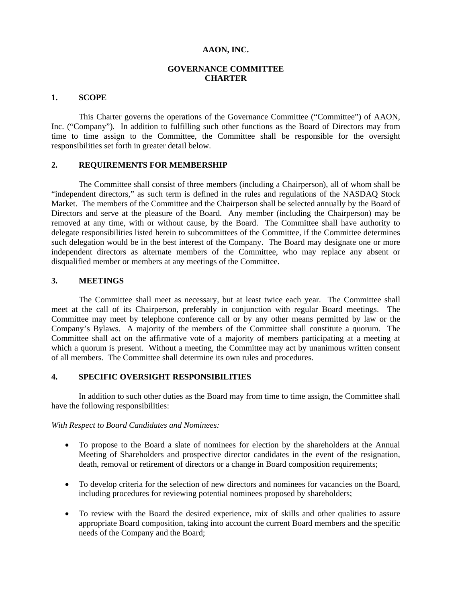### **AAON, INC.**

# **GOVERNANCE COMMITTEE CHARTER**

#### **1. SCOPE**

This Charter governs the operations of the Governance Committee ("Committee") of AAON, Inc. ("Company"). In addition to fulfilling such other functions as the Board of Directors may from time to time assign to the Committee, the Committee shall be responsible for the oversight responsibilities set forth in greater detail below.

## **2. REQUIREMENTS FOR MEMBERSHIP**

The Committee shall consist of three members (including a Chairperson), all of whom shall be "independent directors," as such term is defined in the rules and regulations of the NASDAQ Stock Market. The members of the Committee and the Chairperson shall be selected annually by the Board of Directors and serve at the pleasure of the Board. Any member (including the Chairperson) may be removed at any time, with or without cause, by the Board. The Committee shall have authority to delegate responsibilities listed herein to subcommittees of the Committee, if the Committee determines such delegation would be in the best interest of the Company. The Board may designate one or more independent directors as alternate members of the Committee, who may replace any absent or disqualified member or members at any meetings of the Committee.

### **3. MEETINGS**

The Committee shall meet as necessary, but at least twice each year. The Committee shall meet at the call of its Chairperson, preferably in conjunction with regular Board meetings. The Committee may meet by telephone conference call or by any other means permitted by law or the Company's Bylaws. A majority of the members of the Committee shall constitute a quorum. The Committee shall act on the affirmative vote of a majority of members participating at a meeting at which a quorum is present. Without a meeting, the Committee may act by unanimous written consent of all members. The Committee shall determine its own rules and procedures.

# **4. SPECIFIC OVERSIGHT RESPONSIBILITIES**

In addition to such other duties as the Board may from time to time assign, the Committee shall have the following responsibilities:

#### *With Respect to Board Candidates and Nominees:*

- To propose to the Board a slate of nominees for election by the shareholders at the Annual Meeting of Shareholders and prospective director candidates in the event of the resignation, death, removal or retirement of directors or a change in Board composition requirements;
- To develop criteria for the selection of new directors and nominees for vacancies on the Board, including procedures for reviewing potential nominees proposed by shareholders;
- To review with the Board the desired experience, mix of skills and other qualities to assure appropriate Board composition, taking into account the current Board members and the specific needs of the Company and the Board;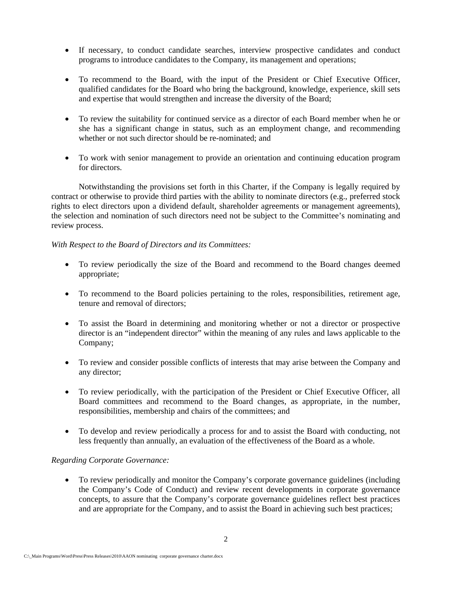- If necessary, to conduct candidate searches, interview prospective candidates and conduct programs to introduce candidates to the Company, its management and operations;
- To recommend to the Board, with the input of the President or Chief Executive Officer, qualified candidates for the Board who bring the background, knowledge, experience, skill sets and expertise that would strengthen and increase the diversity of the Board;
- To review the suitability for continued service as a director of each Board member when he or she has a significant change in status, such as an employment change, and recommending whether or not such director should be re-nominated; and
- To work with senior management to provide an orientation and continuing education program for directors.

Notwithstanding the provisions set forth in this Charter, if the Company is legally required by contract or otherwise to provide third parties with the ability to nominate directors (e.g., preferred stock rights to elect directors upon a dividend default, shareholder agreements or management agreements), the selection and nomination of such directors need not be subject to the Committee's nominating and review process.

## *With Respect to the Board of Directors and its Committees:*

- To review periodically the size of the Board and recommend to the Board changes deemed appropriate;
- To recommend to the Board policies pertaining to the roles, responsibilities, retirement age, tenure and removal of directors;
- To assist the Board in determining and monitoring whether or not a director or prospective director is an "independent director" within the meaning of any rules and laws applicable to the Company;
- To review and consider possible conflicts of interests that may arise between the Company and any director;
- To review periodically, with the participation of the President or Chief Executive Officer, all Board committees and recommend to the Board changes, as appropriate, in the number, responsibilities, membership and chairs of the committees; and
- To develop and review periodically a process for and to assist the Board with conducting, not less frequently than annually, an evaluation of the effectiveness of the Board as a whole.

### *Regarding Corporate Governance:*

• To review periodically and monitor the Company's corporate governance guidelines (including the Company's Code of Conduct) and review recent developments in corporate governance concepts, to assure that the Company's corporate governance guidelines reflect best practices and are appropriate for the Company, and to assist the Board in achieving such best practices;